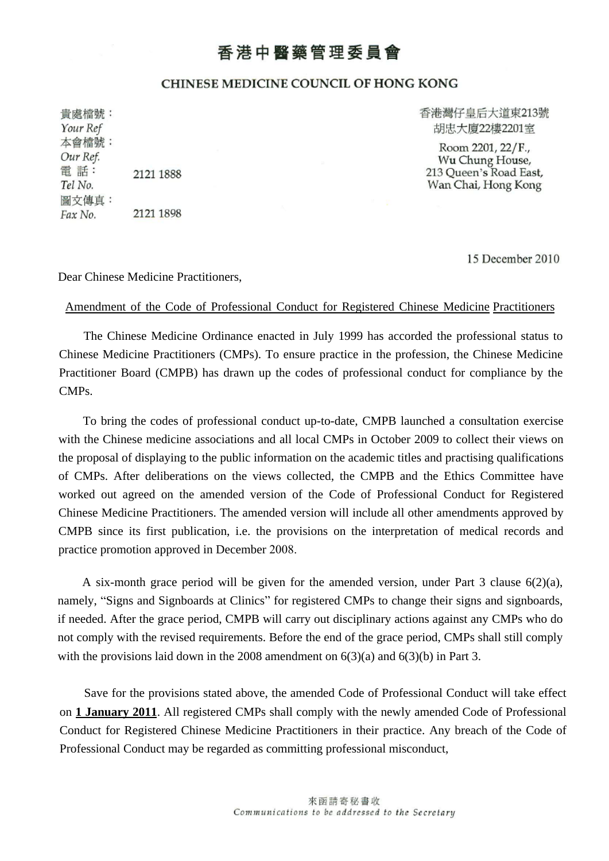## 香港中醫藥管理委員會

## **CHINESE MEDICINE COUNCIL OF HONG KONG**

貴處檔號: Your Ref 本會檔號: Our Ref. 電話: 2121 1888 Tel No. 圖文傳真: 2121 1898 Fax No.

香港灣仔皇后大道東213號 胡忠大廈22樓2201室

Room 2201, 22/F., Wu Chung House, 213 Queen's Road East, Wan Chai, Hong Kong

15 December 2010

Dear Chinese Medicine Practitioners,

## Amendment of the Code of Professional Conduct for Registered Chinese Medicine Practitioners

The Chinese Medicine Ordinance enacted in July 1999 has accorded the professional status to Chinese Medicine Practitioners (CMPs). To ensure practice in the profession, the Chinese Medicine Practitioner Board (CMPB) has drawn up the codes of professional conduct for compliance by the CMPs.

To bring the codes of professional conduct up-to-date, CMPB launched a consultation exercise with the Chinese medicine associations and all local CMPs in October 2009 to collect their views on the proposal of displaying to the public information on the academic titles and practising qualifications of CMPs. After deliberations on the views collected, the CMPB and the Ethics Committee have worked out agreed on the amended version of the Code of Professional Conduct for Registered Chinese Medicine Practitioners. The amended version will include all other amendments approved by CMPB since its first publication, i.e. the provisions on the interpretation of medical records and practice promotion approved in December 2008.

A six-month grace period will be given for the amended version, under Part 3 clause 6(2)(a), namely, "Signs and Signboards at Clinics" for registered CMPs to change their signs and signboards, if needed. After the grace period, CMPB will carry out disciplinary actions against any CMPs who do not comply with the revised requirements. Before the end of the grace period, CMPs shall still comply with the provisions laid down in the 2008 amendment on  $6(3)(a)$  and  $6(3)(b)$  in Part 3.

Save for the provisions stated above, the amended Code of Professional Conduct will take effect on **1 January 2011**. All registered CMPs shall comply with the newly amended Code of Professional Conduct for Registered Chinese Medicine Practitioners in their practice. Any breach of the Code of Professional Conduct may be regarded as committing professional misconduct,